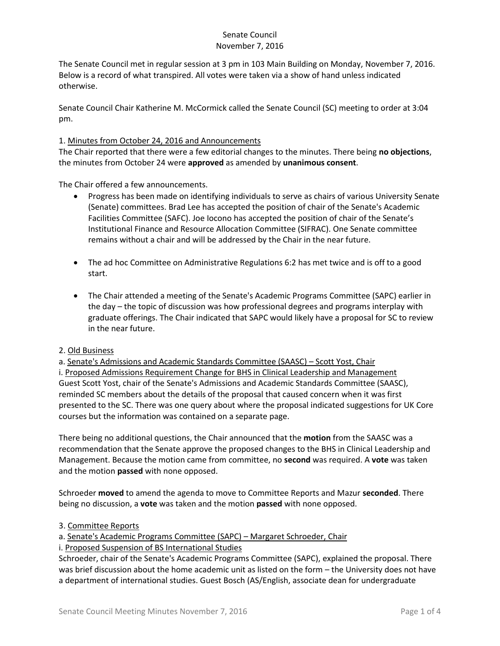The Senate Council met in regular session at 3 pm in 103 Main Building on Monday, November 7, 2016. Below is a record of what transpired. All votes were taken via a show of hand unless indicated otherwise.

Senate Council Chair Katherine M. McCormick called the Senate Council (SC) meeting to order at 3:04 pm.

# 1. Minutes from October 24, 2016 and Announcements

The Chair reported that there were a few editorial changes to the minutes. There being **no objections**, the minutes from October 24 were **approved** as amended by **unanimous consent**.

The Chair offered a few announcements.

- Progress has been made on identifying individuals to serve as chairs of various University Senate (Senate) committees. Brad Lee has accepted the position of chair of the Senate's Academic Facilities Committee (SAFC). Joe Iocono has accepted the position of chair of the Senate's Institutional Finance and Resource Allocation Committee (SIFRAC). One Senate committee remains without a chair and will be addressed by the Chair in the near future.
- The ad hoc Committee on Administrative Regulations 6:2 has met twice and is off to a good start.
- The Chair attended a meeting of the Senate's Academic Programs Committee (SAPC) earlier in the day – the topic of discussion was how professional degrees and programs interplay with graduate offerings. The Chair indicated that SAPC would likely have a proposal for SC to review in the near future.

### 2. Old Business

a. Senate's Admissions and Academic Standards Committee (SAASC) – Scott Yost, Chair i. Proposed Admissions Requirement Change for BHS in Clinical Leadership and Management Guest Scott Yost, chair of the Senate's Admissions and Academic Standards Committee (SAASC), reminded SC members about the details of the proposal that caused concern when it was first presented to the SC. There was one query about where the proposal indicated suggestions for UK Core courses but the information was contained on a separate page.

There being no additional questions, the Chair announced that the **motion** from the SAASC was a recommendation that the Senate approve the proposed changes to the BHS in Clinical Leadership and Management. Because the motion came from committee, no **second** was required. A **vote** was taken and the motion **passed** with none opposed.

Schroeder **moved** to amend the agenda to move to Committee Reports and Mazur **seconded**. There being no discussion, a **vote** was taken and the motion **passed** with none opposed.

### 3. Committee Reports

a. Senate's Academic Programs Committee (SAPC) – Margaret Schroeder, Chair

i. Proposed Suspension of BS International Studies

Schroeder, chair of the Senate's Academic Programs Committee (SAPC), explained the proposal. There was brief discussion about the home academic unit as listed on the form – the University does not have a department of international studies. Guest Bosch (AS/English, associate dean for undergraduate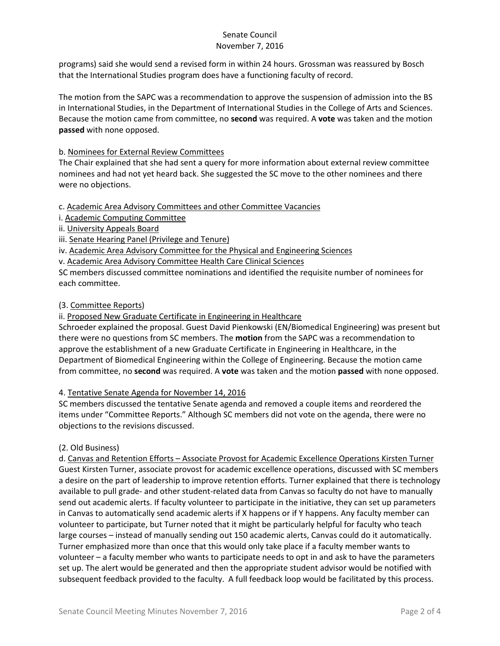programs) said she would send a revised form in within 24 hours. Grossman was reassured by Bosch that the International Studies program does have a functioning faculty of record.

The motion from the SAPC was a recommendation to approve the suspension of admission into the BS in International Studies, in the Department of International Studies in the College of Arts and Sciences. Because the motion came from committee, no **second** was required. A **vote** was taken and the motion **passed** with none opposed.

## b. Nominees for External Review Committees

The Chair explained that she had sent a query for more information about external review committee nominees and had not yet heard back. She suggested the SC move to the other nominees and there were no objections.

## c. Academic Area Advisory Committees and other Committee Vacancies

- i. Academic Computing Committee
- ii. University Appeals Board
- iii. Senate Hearing Panel (Privilege and Tenure)
- iv. Academic Area Advisory Committee for the Physical and Engineering Sciences
- v. Academic Area Advisory Committee Health Care Clinical Sciences

SC members discussed committee nominations and identified the requisite number of nominees for each committee.

### (3. Committee Reports)

ii. Proposed New Graduate Certificate in Engineering in Healthcare

Schroeder explained the proposal. Guest David Pienkowski (EN/Biomedical Engineering) was present but there were no questions from SC members. The **motion** from the SAPC was a recommendation to approve the establishment of a new Graduate Certificate in Engineering in Healthcare, in the Department of Biomedical Engineering within the College of Engineering. Because the motion came from committee, no **second** was required. A **vote** was taken and the motion **passed** with none opposed.

### 4. Tentative Senate Agenda for November 14, 2016

SC members discussed the tentative Senate agenda and removed a couple items and reordered the items under "Committee Reports." Although SC members did not vote on the agenda, there were no objections to the revisions discussed.

### (2. Old Business)

d. Canvas and Retention Efforts – Associate Provost for Academic Excellence Operations Kirsten Turner Guest Kirsten Turner, associate provost for academic excellence operations, discussed with SC members a desire on the part of leadership to improve retention efforts. Turner explained that there is technology available to pull grade- and other student-related data from Canvas so faculty do not have to manually send out academic alerts. If faculty volunteer to participate in the initiative, they can set up parameters in Canvas to automatically send academic alerts if X happens or if Y happens. Any faculty member can volunteer to participate, but Turner noted that it might be particularly helpful for faculty who teach large courses – instead of manually sending out 150 academic alerts, Canvas could do it automatically. Turner emphasized more than once that this would only take place if a faculty member wants to volunteer – a faculty member who wants to participate needs to opt in and ask to have the parameters set up. The alert would be generated and then the appropriate student advisor would be notified with subsequent feedback provided to the faculty. A full feedback loop would be facilitated by this process.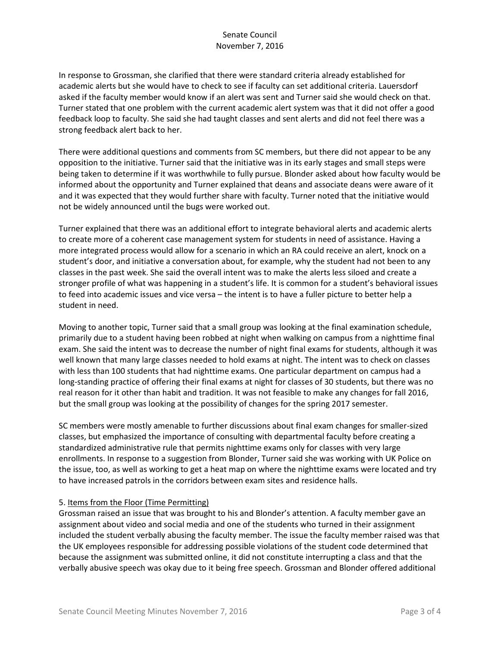In response to Grossman, she clarified that there were standard criteria already established for academic alerts but she would have to check to see if faculty can set additional criteria. Lauersdorf asked if the faculty member would know if an alert was sent and Turner said she would check on that. Turner stated that one problem with the current academic alert system was that it did not offer a good feedback loop to faculty. She said she had taught classes and sent alerts and did not feel there was a strong feedback alert back to her.

There were additional questions and comments from SC members, but there did not appear to be any opposition to the initiative. Turner said that the initiative was in its early stages and small steps were being taken to determine if it was worthwhile to fully pursue. Blonder asked about how faculty would be informed about the opportunity and Turner explained that deans and associate deans were aware of it and it was expected that they would further share with faculty. Turner noted that the initiative would not be widely announced until the bugs were worked out.

Turner explained that there was an additional effort to integrate behavioral alerts and academic alerts to create more of a coherent case management system for students in need of assistance. Having a more integrated process would allow for a scenario in which an RA could receive an alert, knock on a student's door, and initiative a conversation about, for example, why the student had not been to any classes in the past week. She said the overall intent was to make the alerts less siloed and create a stronger profile of what was happening in a student's life. It is common for a student's behavioral issues to feed into academic issues and vice versa – the intent is to have a fuller picture to better help a student in need.

Moving to another topic, Turner said that a small group was looking at the final examination schedule, primarily due to a student having been robbed at night when walking on campus from a nighttime final exam. She said the intent was to decrease the number of night final exams for students, although it was well known that many large classes needed to hold exams at night. The intent was to check on classes with less than 100 students that had nighttime exams. One particular department on campus had a long-standing practice of offering their final exams at night for classes of 30 students, but there was no real reason for it other than habit and tradition. It was not feasible to make any changes for fall 2016, but the small group was looking at the possibility of changes for the spring 2017 semester.

SC members were mostly amenable to further discussions about final exam changes for smaller-sized classes, but emphasized the importance of consulting with departmental faculty before creating a standardized administrative rule that permits nighttime exams only for classes with very large enrollments. In response to a suggestion from Blonder, Turner said she was working with UK Police on the issue, too, as well as working to get a heat map on where the nighttime exams were located and try to have increased patrols in the corridors between exam sites and residence halls.

### 5. Items from the Floor (Time Permitting)

Grossman raised an issue that was brought to his and Blonder's attention. A faculty member gave an assignment about video and social media and one of the students who turned in their assignment included the student verbally abusing the faculty member. The issue the faculty member raised was that the UK employees responsible for addressing possible violations of the student code determined that because the assignment was submitted online, it did not constitute interrupting a class and that the verbally abusive speech was okay due to it being free speech. Grossman and Blonder offered additional